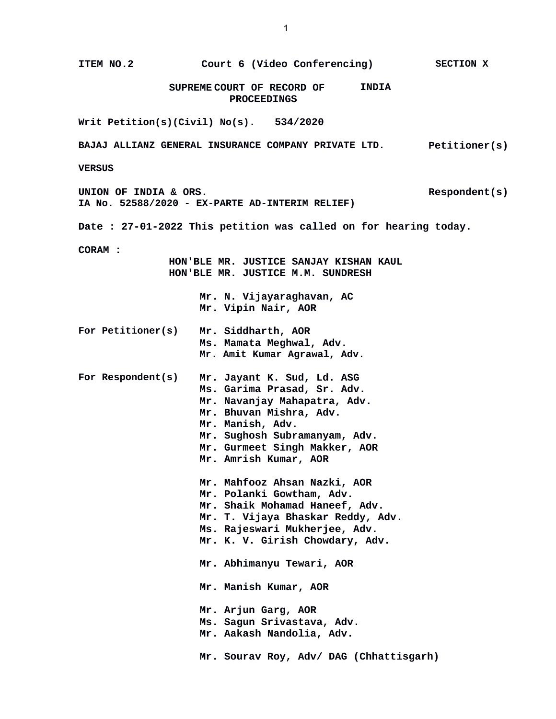**ITEM NO.2 Court 6 (Video Conferencing) SECTION X SUPREME COURT OF RECORD OF PROCEEDINGS INDIA Writ Petition(s)(Civil) No(s). 534/2020 BAJAJ ALLIANZ GENERAL INSURANCE COMPANY PRIVATE LTD. Petitioner(s) VERSUS UNION OF INDIA & ORS. IA No. 52588/2020 - EX-PARTE AD-INTERIM RELIEF) Respondent(s) Date : 27-01-2022 This petition was called on for hearing today. CORAM : HON'BLE MR. JUSTICE SANJAY KISHAN KAUL HON'BLE MR. JUSTICE M.M. SUNDRESH Mr. N. Vijayaraghavan, AC Mr. Vipin Nair, AOR For Petitioner(s) Mr. Siddharth, AOR Ms. Mamata Meghwal, Adv. Mr. Amit Kumar Agrawal, Adv. For Respondent(s) Mr. Jayant K. Sud, Ld. ASG Ms. Garima Prasad, Sr. Adv. Mr. Navanjay Mahapatra, Adv. Mr. Bhuvan Mishra, Adv. Mr. Manish, Adv. Mr. Sughosh Subramanyam, Adv. Mr. Gurmeet Singh Makker, AOR Mr. Amrish Kumar, AOR Mr. Mahfooz Ahsan Nazki, AOR Mr. Polanki Gowtham, Adv. Mr. Shaik Mohamad Haneef, Adv. Mr. T. Vijaya Bhaskar Reddy, Adv. Ms. Rajeswari Mukherjee, Adv. Mr. K. V. Girish Chowdary, Adv. Mr. Abhimanyu Tewari, AOR Mr. Manish Kumar, AOR Mr. Arjun Garg, AOR Ms. Sagun Srivastava, Adv. Mr. Aakash Nandolia, Adv. Mr. Sourav Roy, Adv/ DAG (Chhattisgarh)**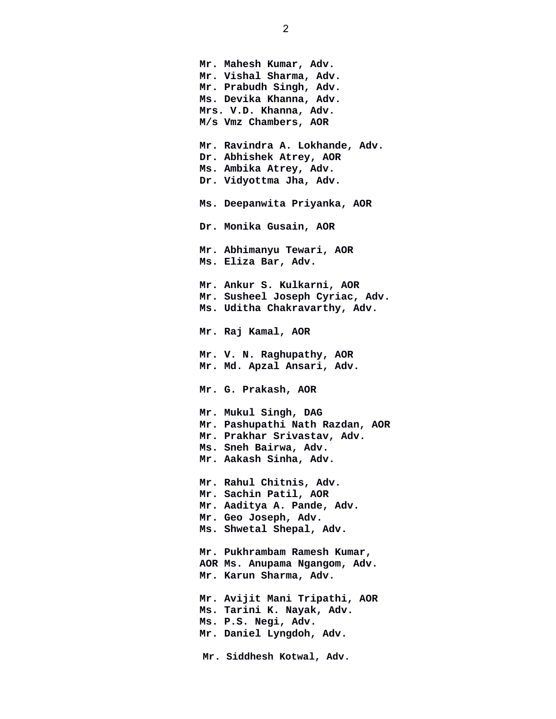**Mr. Mahesh Kumar, Adv. Mr. Vishal Sharma, Adv. Mr. Prabudh Singh, Adv. Ms. Devika Khanna, Adv. Mrs. V.D. Khanna, Adv. M/s Vmz Chambers, AOR Mr. Ravindra A. Lokhande, Adv. Dr. Abhishek Atrey, AOR Ms. Ambika Atrey, Adv. Dr. Vidyottma Jha, Adv. Ms. Deepanwita Priyanka, AOR Dr. Monika Gusain, AOR Mr. Abhimanyu Tewari, AOR Ms. Eliza Bar, Adv. Mr. Ankur S. Kulkarni, AOR Mr. Susheel Joseph Cyriac, Adv. Ms. Uditha Chakravarthy, Adv. Mr. Raj Kamal, AOR Mr. V. N. Raghupathy, AOR Mr. Md. Apzal Ansari, Adv. Mr. G. Prakash, AOR Mr. Mukul Singh, DAG Mr. Pashupathi Nath Razdan, AOR Mr. Prakhar Srivastav, Adv. Ms. Sneh Bairwa, Adv. Mr. Aakash Sinha, Adv. Mr. Rahul Chitnis, Adv. Mr. Sachin Patil, AOR Mr. Aaditya A. Pande, Adv. Mr. Geo Joseph, Adv. Ms. Shwetal Shepal, Adv. Mr. Pukhrambam Ramesh Kumar, AOR Ms. Anupama Ngangom, Adv. Mr. Karun Sharma, Adv. Mr. Avijit Mani Tripathi, AOR Ms. Tarini K. Nayak, Adv. Ms. P.S. Negi, Adv. Mr. Daniel Lyngdoh, Adv. Mr. Siddhesh Kotwal, Adv.**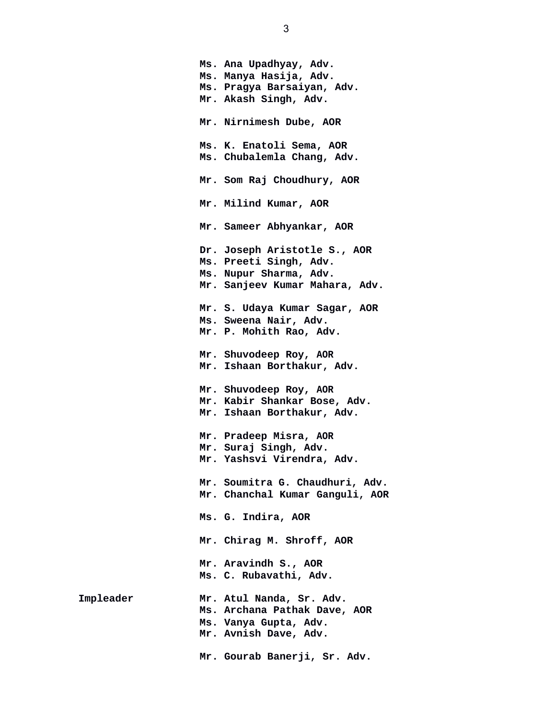**Ms. Ana Upadhyay, Adv. Ms. Manya Hasija, Adv. Ms. Pragya Barsaiyan, Adv. Mr. Akash Singh, Adv. Mr. Nirnimesh Dube, AOR Ms. K. Enatoli Sema, AOR Ms. Chubalemla Chang, Adv. Mr. Som Raj Choudhury, AOR Mr. Milind Kumar, AOR Mr. Sameer Abhyankar, AOR Dr. Joseph Aristotle S., AOR Ms. Preeti Singh, Adv. Ms. Nupur Sharma, Adv. Mr. Sanjeev Kumar Mahara, Adv. Mr. S. Udaya Kumar Sagar, AOR Ms. Sweena Nair, Adv. Mr. P. Mohith Rao, Adv. Mr. Shuvodeep Roy, AOR Mr. Ishaan Borthakur, Adv. Mr. Shuvodeep Roy, AOR Mr. Kabir Shankar Bose, Adv. Mr. Ishaan Borthakur, Adv. Mr. Pradeep Misra, AOR Mr. Suraj Singh, Adv. Mr. Yashsvi Virendra, Adv. Mr. Soumitra G. Chaudhuri, Adv. Mr. Chanchal Kumar Ganguli, AOR Ms. G. Indira, AOR Mr. Chirag M. Shroff, AOR Mr. Aravindh S., AOR Ms. C. Rubavathi, Adv. Impleader Mr. Atul Nanda, Sr. Adv. Ms. Archana Pathak Dave, AOR Ms. Vanya Gupta, Adv. Mr. Avnish Dave, Adv. Mr. Gourab Banerji, Sr. Adv.**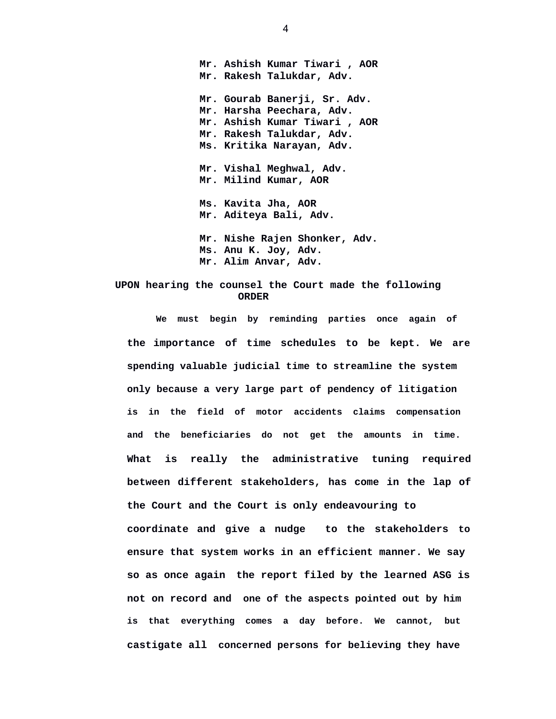**Mr. Ashish Kumar Tiwari , AOR Mr. Rakesh Talukdar, Adv. Mr. Gourab Banerji, Sr. Adv. Mr. Harsha Peechara, Adv. Mr. Ashish Kumar Tiwari , AOR Mr. Rakesh Talukdar, Adv. Ms. Kritika Narayan, Adv. Mr. Vishal Meghwal, Adv. Mr. Milind Kumar, AOR Ms. Kavita Jha, AOR Mr. Aditeya Bali, Adv. Mr. Nishe Rajen Shonker, Adv. Ms. Anu K. Joy, Adv. Mr. Alim Anvar, Adv.** 

## **UPON hearing the counsel the Court made the following ORDER**

**We must begin by reminding parties once again of the importance of time schedules to be kept. We are spending valuable judicial time to streamline the system only because a very large part of pendency of litigation is in the field of motor accidents claims compensation and the beneficiaries do not get the amounts in time. What is really the administrative tuning required between different stakeholders, has come in the lap of the Court and the Court is only endeavouring to coordinate and give a nudge to the stakeholders to ensure that system works in an efficient manner. We say so as once again the report filed by the learned ASG is not on record and one of the aspects pointed out by him is that everything comes a day before. We cannot, but castigate all concerned persons for believing they have**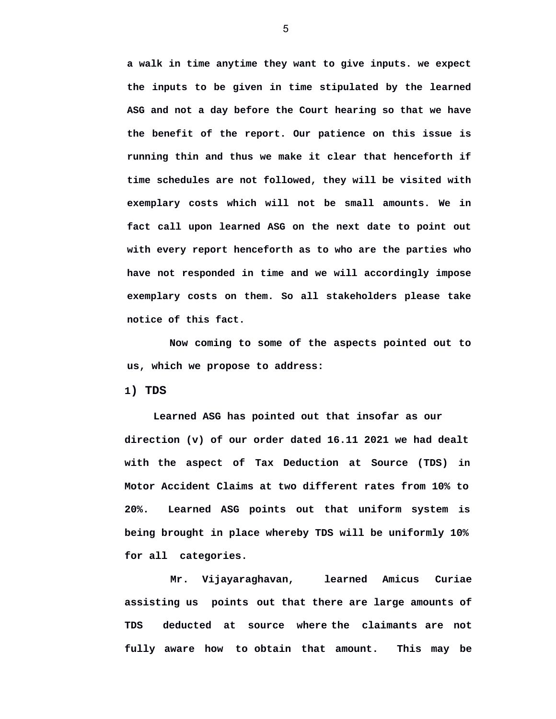**a walk in time anytime they want to give inputs. we expect the inputs to be given in time stipulated by the learned ASG and not a day before the Court hearing so that we have the benefit of the report. Our patience on this issue is running thin and thus we make it clear that henceforth if time schedules are not followed, they will be visited with exemplary costs which will not be small amounts. We in fact call upon learned ASG on the next date to point out with every report henceforth as to who are the parties who have not responded in time and we will accordingly impose exemplary costs on them. So all stakeholders please take notice of this fact.** 

**Now coming to some of the aspects pointed out to us, which we propose to address:** 

**1) TDS** 

**Learned ASG has pointed out that insofar as our direction (v) of our order dated 16.11 2021 we had dealt with the aspect of Tax Deduction at Source (TDS) in Motor Accident Claims at two different rates from 10% to 20%. Learned ASG points out that uniform system is being brought in place whereby TDS will be uniformly 10% for all categories.**

**Mr. Vijayaraghavan, learned Amicus Curiae assisting us points out that there are large amounts of TDS deducted at source where the claimants are not fully aware how to obtain that amount. This may be**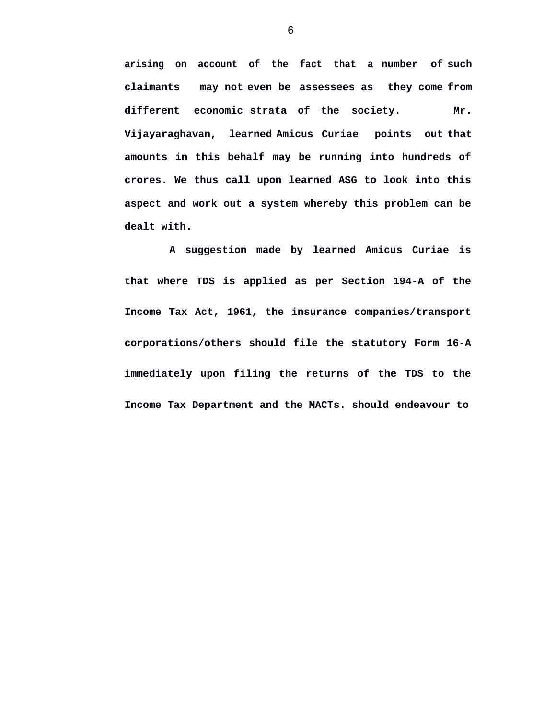**arising on account of the fact that a number of such claimants may not even be assessees as they come from different economic strata of the society. Mr. Vijayaraghavan, learned Amicus Curiae points out that amounts in this behalf may be running into hundreds of crores. We thus call upon learned ASG to look into this aspect and work out a system whereby this problem can be dealt with.** 

**A suggestion made by learned Amicus Curiae is that where TDS is applied as per Section 194-A of the Income Tax Act, 1961, the insurance companies/transport corporations/others should file the statutory Form 16-A immediately upon filing the returns of the TDS to the Income Tax Department and the MACTs. should endeavour to**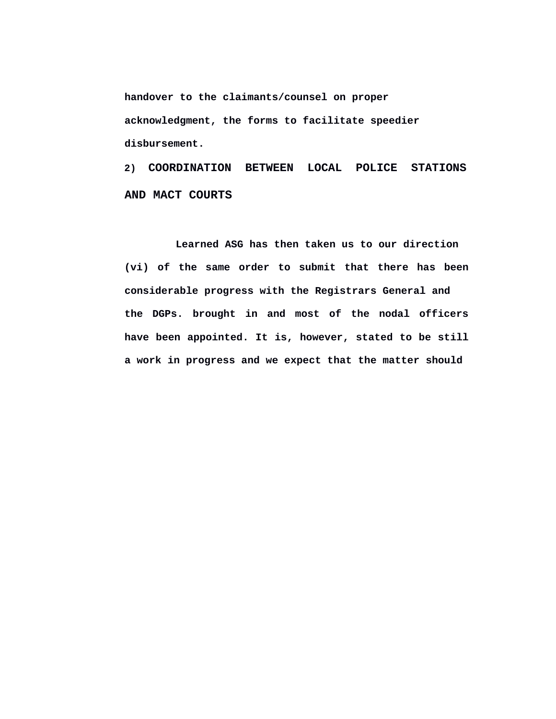**handover to the claimants/counsel on proper acknowledgment, the forms to facilitate speedier disbursement.** 

**2) COORDINATION BETWEEN LOCAL POLICE STATIONS AND MACT COURTS** 

**Learned ASG has then taken us to our direction (vi) of the same order to submit that there has been considerable progress with the Registrars General and the DGPs. brought in and most of the nodal officers have been appointed. It is, however, stated to be still a work in progress and we expect that the matter should**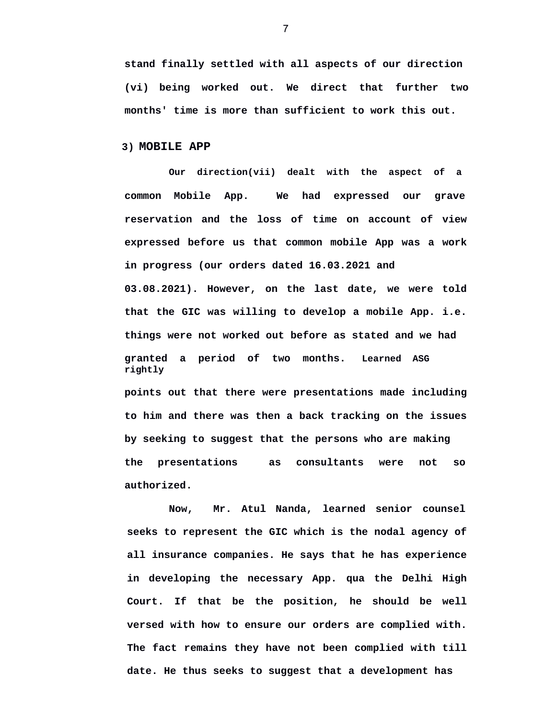**stand finally settled with all aspects of our direction (vi) being worked out. We direct that further two months' time is more than sufficient to work this out.** 

## **3) MOBILE APP**

**Our direction(vii) dealt with the aspect of a common Mobile App. We had expressed our grave reservation and the loss of time on account of view expressed before us that common mobile App was a work in progress (our orders dated 16.03.2021 and 03.08.2021). However, on the last date, we were told that the GIC was willing to develop a mobile App. i.e. things were not worked out before as stated and we had granted a period of two months. Learned ASG rightly points out that there were presentations made including to him and there was then a back tracking on the issues by seeking to suggest that the persons who are making the presentations as consultants were not so** 

**authorized.** 

**Now, Mr. Atul Nanda, learned senior counsel seeks to represent the GIC which is the nodal agency of all insurance companies. He says that he has experience in developing the necessary App. qua the Delhi High Court. If that be the position, he should be well versed with how to ensure our orders are complied with. The fact remains they have not been complied with till date. He thus seeks to suggest that a development has**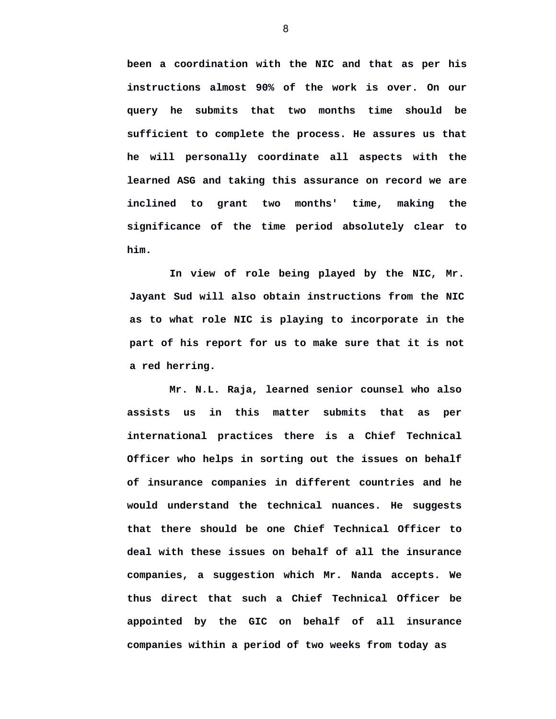**been a coordination with the NIC and that as per his instructions almost 90% of the work is over. On our query he submits that two months time should be sufficient to complete the process. He assures us that he will personally coordinate all aspects with the learned ASG and taking this assurance on record we are inclined to grant two months' time, making the significance of the time period absolutely clear to him.** 

**In view of role being played by the NIC, Mr. Jayant Sud will also obtain instructions from the NIC as to what role NIC is playing to incorporate in the part of his report for us to make sure that it is not a red herring.** 

**Mr. N.L. Raja, learned senior counsel who also assists us in this matter submits that as per international practices there is a Chief Technical Officer who helps in sorting out the issues on behalf of insurance companies in different countries and he would understand the technical nuances. He suggests that there should be one Chief Technical Officer to deal with these issues on behalf of all the insurance companies, a suggestion which Mr. Nanda accepts. We thus direct that such a Chief Technical Officer be appointed by the GIC on behalf of all insurance companies within a period of two weeks from today as**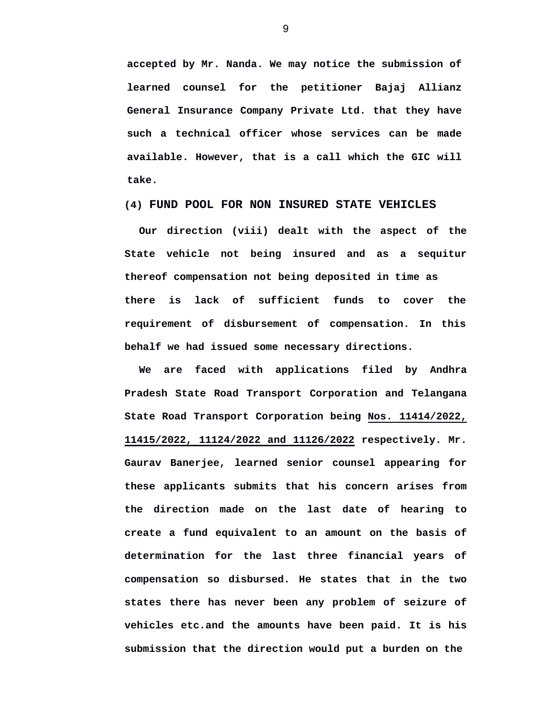**accepted by Mr. Nanda. We may notice the submission of learned counsel for the petitioner Bajaj Allianz General Insurance Company Private Ltd. that they have such a technical officer whose services can be made available. However, that is a call which the GIC will take.** 

**(4) FUND POOL FOR NON INSURED STATE VEHICLES**

**Our direction (viii) dealt with the aspect of the State vehicle not being insured and as a sequitur thereof compensation not being deposited in time as there is lack of sufficient funds to cover the requirement of disbursement of compensation. In this behalf we had issued some necessary directions.** 

**We are faced with applications filed by Andhra Pradesh State Road Transport Corporation and Telangana State Road Transport Corporation being Nos. 11414/2022, 11415/2022, 11124/2022 and 11126/2022 respectively. Mr. Gaurav Banerjee, learned senior counsel appearing for these applicants submits that his concern arises from the direction made on the last date of hearing to create a fund equivalent to an amount on the basis of determination for the last three financial years of compensation so disbursed. He states that in the two states there has never been any problem of seizure of vehicles etc.and the amounts have been paid. It is his submission that the direction would put a burden on the**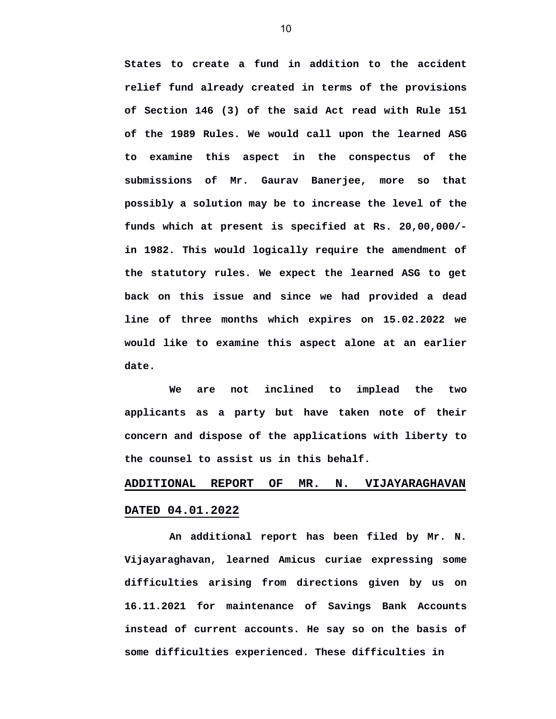**States to create a fund in addition to the accident relief fund already created in terms of the provisions of Section 146 (3) of the said Act read with Rule 151 of the 1989 Rules. We would call upon the learned ASG to examine this aspect in the conspectus of the submissions of Mr. Gaurav Banerjee, more so that possibly a solution may be to increase the level of the funds which at present is specified at Rs. 20,00,000/ in 1982. This would logically require the amendment of the statutory rules. We expect the learned ASG to get back on this issue and since we had provided a dead line of three months which expires on 15.02.2022 we would like to examine this aspect alone at an earlier date.** 

**We are not inclined to implead the two applicants as a party but have taken note of their concern and dispose of the applications with liberty to the counsel to assist us in this behalf.** 

## **ADDITIONAL REPORT OF MR. N. VIJAYARAGHAVAN DATED 04.01.2022**

**An additional report has been filed by Mr. N. Vijayaraghavan, learned Amicus curiae expressing some difficulties arising from directions given by us on 16.11.2021 for maintenance of Savings Bank Accounts instead of current accounts. He say so on the basis of some difficulties experienced. These difficulties in**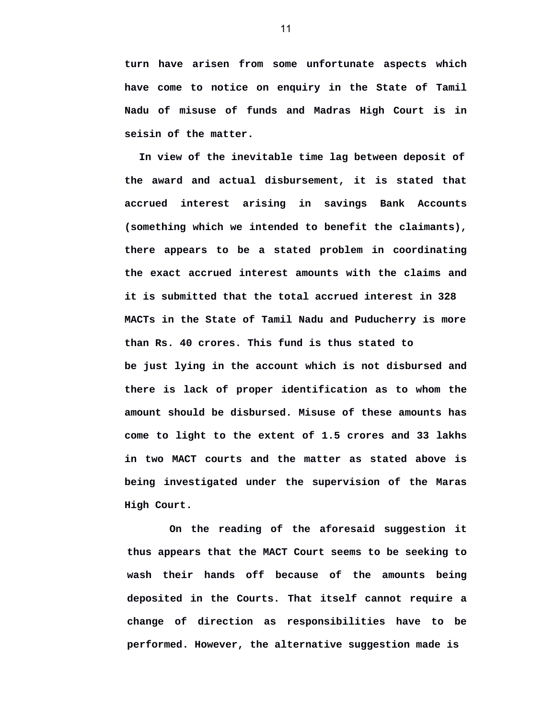**turn have arisen from some unfortunate aspects which have come to notice on enquiry in the State of Tamil Nadu of misuse of funds and Madras High Court is in seisin of the matter.** 

**In view of the inevitable time lag between deposit of the award and actual disbursement, it is stated that accrued interest arising in savings Bank Accounts (something which we intended to benefit the claimants), there appears to be a stated problem in coordinating the exact accrued interest amounts with the claims and it is submitted that the total accrued interest in 328 MACTs in the State of Tamil Nadu and Puducherry is more than Rs. 40 crores. This fund is thus stated to be just lying in the account which is not disbursed and there is lack of proper identification as to whom the amount should be disbursed. Misuse of these amounts has come to light to the extent of 1.5 crores and 33 lakhs in two MACT courts and the matter as stated above is being investigated under the supervision of the Maras High Court.** 

**On the reading of the aforesaid suggestion it thus appears that the MACT Court seems to be seeking to wash their hands off because of the amounts being deposited in the Courts. That itself cannot require a change of direction as responsibilities have to be performed. However, the alternative suggestion made is**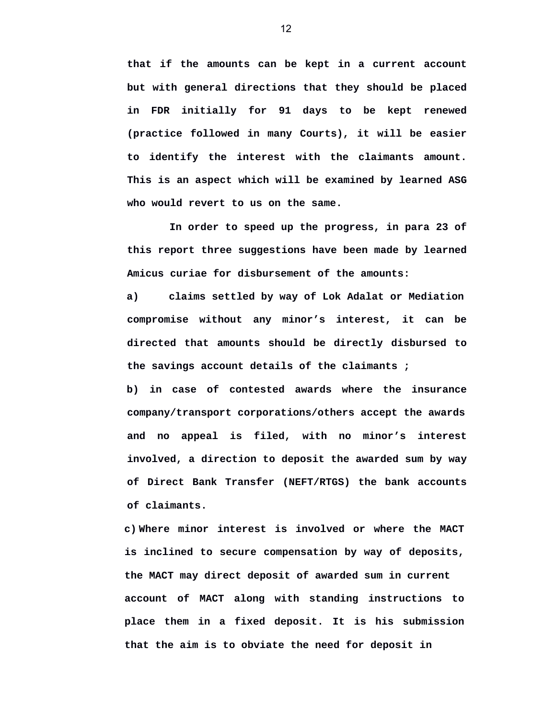**that if the amounts can be kept in a current account but with general directions that they should be placed in FDR initially for 91 days to be kept renewed (practice followed in many Courts), it will be easier to identify the interest with the claimants amount. This is an aspect which will be examined by learned ASG who would revert to us on the same.** 

**In order to speed up the progress, in para 23 of this report three suggestions have been made by learned Amicus curiae for disbursement of the amounts:** 

**a) claims settled by way of Lok Adalat or Mediation compromise without any minor's interest, it can be directed that amounts should be directly disbursed to the savings account details of the claimants ;** 

**b) in case of contested awards where the insurance company/transport corporations/others accept the awards and no appeal is filed, with no minor's interest involved, a direction to deposit the awarded sum by way of Direct Bank Transfer (NEFT/RTGS) the bank accounts of claimants.** 

**c) Where minor interest is involved or where the MACT is inclined to secure compensation by way of deposits, the MACT may direct deposit of awarded sum in current account of MACT along with standing instructions to place them in a fixed deposit. It is his submission that the aim is to obviate the need for deposit in**